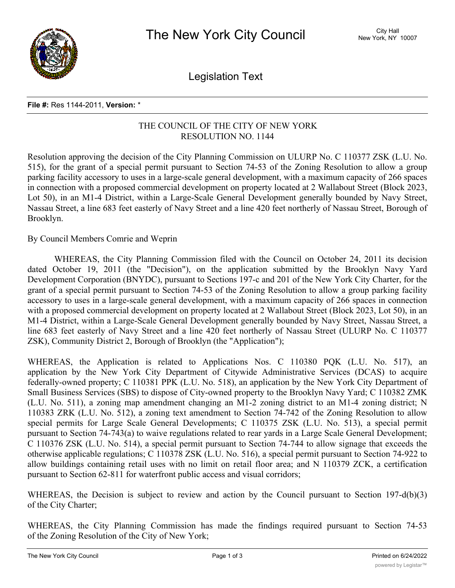

Legislation Text

## **File #:** Res 1144-2011, **Version:** \*

## THE COUNCIL OF THE CITY OF NEW YORK RESOLUTION NO. 1144

Resolution approving the decision of the City Planning Commission on ULURP No. C 110377 ZSK (L.U. No. 515), for the grant of a special permit pursuant to Section 74-53 of the Zoning Resolution to allow a group parking facility accessory to uses in a large-scale general development, with a maximum capacity of 266 spaces in connection with a proposed commercial development on property located at 2 Wallabout Street (Block 2023, Lot 50), in an M1-4 District, within a Large-Scale General Development generally bounded by Navy Street, Nassau Street, a line 683 feet easterly of Navy Street and a line 420 feet northerly of Nassau Street, Borough of Brooklyn.

By Council Members Comrie and Weprin

WHEREAS, the City Planning Commission filed with the Council on October 24, 2011 its decision dated October 19, 2011 (the "Decision"), on the application submitted by the Brooklyn Navy Yard Development Corporation (BNYDC), pursuant to Sections 197-c and 201 of the New York City Charter, for the grant of a special permit pursuant to Section 74-53 of the Zoning Resolution to allow a group parking facility accessory to uses in a large-scale general development, with a maximum capacity of 266 spaces in connection with a proposed commercial development on property located at 2 Wallabout Street (Block 2023, Lot 50), in an M1-4 District, within a Large-Scale General Development generally bounded by Navy Street, Nassau Street, a line 683 feet easterly of Navy Street and a line 420 feet northerly of Nassau Street (ULURP No. C 110377 ZSK), Community District 2, Borough of Brooklyn (the "Application");

WHEREAS, the Application is related to Applications Nos. C 110380 PQK (L.U. No. 517), an application by the New York City Department of Citywide Administrative Services (DCAS) to acquire federally-owned property; C 110381 PPK (L.U. No. 518), an application by the New York City Department of Small Business Services (SBS) to dispose of City-owned property to the Brooklyn Navy Yard; C 110382 ZMK (L.U. No. 511), a zoning map amendment changing an M1-2 zoning district to an M1-4 zoning district; N 110383 ZRK (L.U. No. 512), a zoning text amendment to Section 74-742 of the Zoning Resolution to allow special permits for Large Scale General Developments; C 110375 ZSK (L.U. No. 513), a special permit pursuant to Section 74-743(a) to waive regulations related to rear yards in a Large Scale General Development; C 110376 ZSK (L.U. No. 514), a special permit pursuant to Section 74-744 to allow signage that exceeds the otherwise applicable regulations; C 110378 ZSK (L.U. No. 516), a special permit pursuant to Section 74-922 to allow buildings containing retail uses with no limit on retail floor area; and N 110379 ZCK, a certification pursuant to Section 62-811 for waterfront public access and visual corridors;

WHEREAS, the Decision is subject to review and action by the Council pursuant to Section 197-d(b)(3) of the City Charter;

WHEREAS, the City Planning Commission has made the findings required pursuant to Section 74-53 of the Zoning Resolution of the City of New York;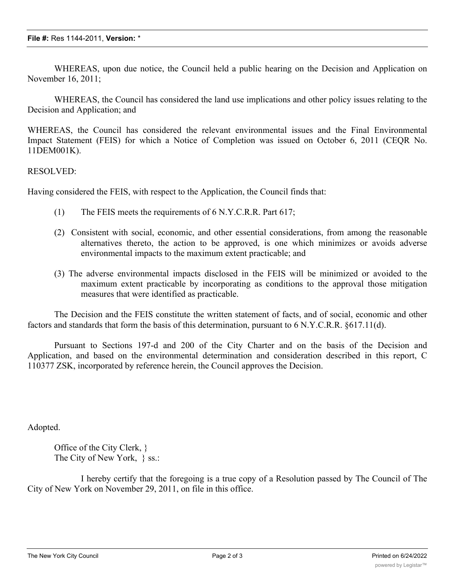WHEREAS, upon due notice, the Council held a public hearing on the Decision and Application on November 16, 2011;

WHEREAS, the Council has considered the land use implications and other policy issues relating to the Decision and Application; and

WHEREAS, the Council has considered the relevant environmental issues and the Final Environmental Impact Statement (FEIS) for which a Notice of Completion was issued on October 6, 2011 (CEQR No. 11DEM001K).

RESOLVED:

Having considered the FEIS, with respect to the Application, the Council finds that:

- (1) The FEIS meets the requirements of 6 N.Y.C.R.R. Part 617;
- (2) Consistent with social, economic, and other essential considerations, from among the reasonable alternatives thereto, the action to be approved, is one which minimizes or avoids adverse environmental impacts to the maximum extent practicable; and
- (3) The adverse environmental impacts disclosed in the FEIS will be minimized or avoided to the maximum extent practicable by incorporating as conditions to the approval those mitigation measures that were identified as practicable.

The Decision and the FEIS constitute the written statement of facts, and of social, economic and other factors and standards that form the basis of this determination, pursuant to 6 N.Y.C.R.R. §617.11(d).

Pursuant to Sections 197-d and 200 of the City Charter and on the basis of the Decision and Application, and based on the environmental determination and consideration described in this report, C 110377 ZSK, incorporated by reference herein, the Council approves the Decision.

Adopted.

Office of the City Clerk, } The City of New York,  $\}$  ss.:

I hereby certify that the foregoing is a true copy of a Resolution passed by The Council of The City of New York on November 29, 2011, on file in this office.